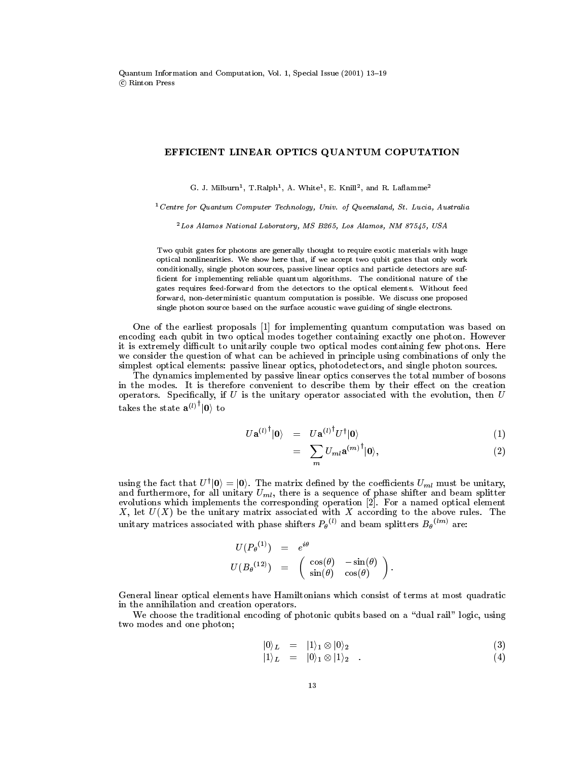## EFFICIENT LINEAR OPTICS QUANTUM COPUTATION

G. J. Milburn<sup>1</sup>, T.Ralph<sup>1</sup>, A. White<sup>1</sup>, E. Knill<sup>2</sup>, and R. Laflamme<sup>2</sup>

<sup>1</sup> Centre for Quantum Computer Technology, Univ. of Queensland, St. Lucia, Australia

 $^{2}$ Los Alamos National Laboratory, MS B265, Los Alamos, NM 87545, USA

Two qubit gates for photons are generally thought to require exotic materials with huge optical nonlinearities. We show here that, if we accept two qubit gates that only work conditionally, single photon sources, passive linear optics and particle detectors are sufficient for implementing reliable quantum algorithms. The conditional nature of the gates requires feed-forward from the detectors to the optical elements. Without feed forward, non-deterministic quantum computation is possible. We discuss one proposed single photon source based on the surface acoustic wave guiding of single electrons.

One of the earliest proposals [1] for implementing quantum computation was based on encoding each qubit in two optical modes together containing exactly one photon. However it is extremely difficult to unitarily couple two optical modes containing few photons. Here we consider the question of what can be achieved in principle using combinations of only the simplest optical elements: passive linear optics, photodetectors, and single photon sources.

The dynamics implemented by passive linear optics conserves the total number of bosons in the modes. It is therefore convenient to describe them by their effect on the creation operators. Specifically, if  $U$  is the unitary operator associated with the evolution, then  $U$ takes the state  $a^{(l)^\dagger} |0\rangle$  to

$$
U\mathbf{a}^{(l)\dagger}|0\rangle = U\mathbf{a}^{(l)\dagger}U^{\dagger}|0\rangle \tag{1}
$$

$$
= \sum_{m} U_{ml} \mathbf{a}^{(m)^\dagger} |0\rangle, \tag{2}
$$

using the fact that  $U^{\dagger} |0\rangle = |0\rangle$ . The matrix defined by the coefficients  $U_{ml}$  must be unitary, and furthermore, for all unitary  $U_{ml}$ , there is a sequence of phase shifter and beam splitter evolutions which implem unitary matrices associated with phase shifters  $P_{\theta}^{(l)}$  and beam splitters  $B_{\theta}^{(lm)}$  are:

$$
U(P_{\theta}^{(1)}) = e^{i\theta}
$$
  

$$
U(B_{\theta}^{(12)}) = \begin{pmatrix} \cos(\theta) & -\sin(\theta) \\ \sin(\theta) & \cos(\theta) \end{pmatrix}
$$

General linear optical elements have Hamiltonians which consist of terms at most quadratic in the annihilation and creation operators.

We choose the traditional encoding of photonic qubits based on a "dual rail" logic, using two modes and one photon;

$$
|0\rangle_L = |1\rangle_1 \otimes |0\rangle_2 \tag{3}
$$

$$
|1\rangle_L = |0\rangle_1 \otimes |1\rangle_2 . \qquad (4)
$$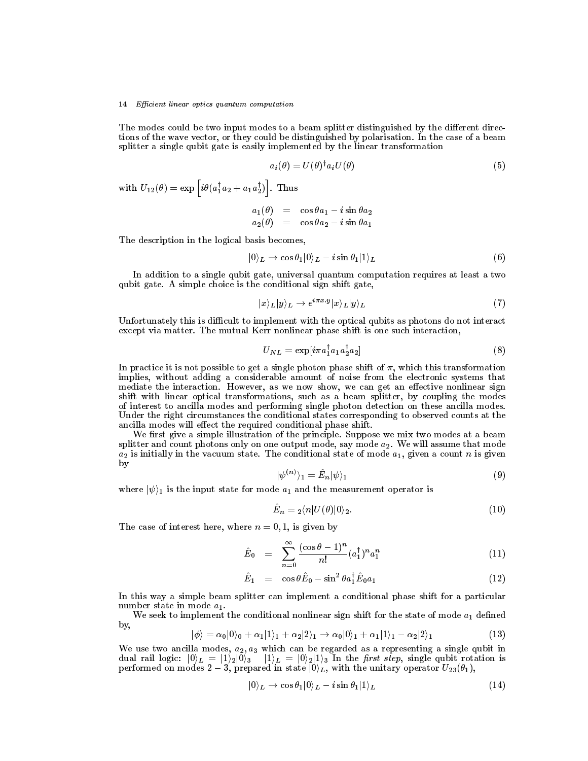## 14 Efficient linear optics quantum computation

The modes could be two input modes to a beam splitter distinguished by the different directions of the wave vector, or they could be distinguished by polarisation. In the case of a beam splitter a single qubit gate is easily implemented by the linear transformation

$$
a_i(\theta) = U(\theta)^{\dagger} a_i U(\theta) \tag{5}
$$

with  $U_{12}(\theta) = \exp \left[ i \theta (a_1^{\dagger} a_2 + a_1 a_2^{\dagger}) \right]$ . Thus

$$
\begin{array}{rcl} a_1(\theta) & = & \cos\theta a_1 - i\sin\theta a_2 \\ a_2(\theta) & = & \cos\theta a_2 - i\sin\theta a_1 \end{array}
$$

The description in the logical basis becomes,

$$
|0\rangle_L \to \cos \theta_1 |0\rangle_L - i \sin \theta_1 |1\rangle_L
$$
 (6)

In addition to a single qubit gate, universal quantum computation requires at least a two qubit gate. A simple choice is the conditional sign shift gate,

$$
|x\rangle_L|y\rangle_L \to e^{i\pi x \cdot y} |x\rangle_L|y\rangle_L \tag{7}
$$

Unfortunately this is difficult to implement with the optical qubits as photons do not interact except via matter. The mutual Kerr nonlinear phase shift is one such interaction,

$$
U_{NL} = \exp[i\pi a_1^\dagger a_1 a_2^\dagger a_2] \tag{8}
$$

In practice it is not possible to get a single photon phase shift of  $\pi$ , which this transformation implies, without adding a considerable amount of noise from the electronic systems that mediate the interaction. However, as we now show, we can get an effective nonlinear sign shift with linear optical transformations, such as a beam splitter, by coupling the modes of interest to ancilla modes and performing single photon detection on these ancilla modes. Under the right circumstances the conditional states corresponding to observed counts at the ancilla modes will effect the required conditional phase shift.

We first give a simple illustration of the principle. Suppose we mix two modes at a beam splitter and count photons only on one output mode, say mode  $a_2$ . We will assume that mode  $a_2$  is initially in the vacuum state. The conditional state of mode  $a_1$ , given a count n is given by

$$
|\psi^{(n)}\rangle_1 = E_n|\psi\rangle_1\tag{9}
$$

where  $|\psi\rangle_1$  is the input state for mode  $a_1$  and the measurement operator is

$$
\ddot{E}_n = \, _2\langle n|U(\theta)|0\rangle_2. \tag{10}
$$

The case of interest here, where  $n = 0, 1$ , is given by

$$
\hat{E}_0 = \sum_{n=0}^{\infty} \frac{(\cos \theta - 1)^n}{n!} (a_1^{\dagger})^n a_1^n \tag{11}
$$

$$
\hat{E}_1 = \cos\theta \hat{E}_0 - \sin^2\theta a_1^\dagger \hat{E}_0 a_1 \tag{12}
$$

In this way a simple beam splitter can implement a conditional phase shift for a particular number state in mode  $a_1$ .

We seek to implement the conditional nonlinear sign shift for the state of mode  $a_1$  defined by.

$$
|\phi\rangle = \alpha_0 |0\rangle_0 + \alpha_1 |1\rangle_1 + \alpha_2 |2\rangle_1 \rightarrow \alpha_0 |0\rangle_1 + \alpha_1 |1\rangle_1 - \alpha_2 |2\rangle_1
$$
\n(13)

We use two ancilla modes,  $a_2$ ,  $a_3$  which can be regarded as a representing a single qubit in dual rail logic:  $|0\rangle_L = |1\rangle_2 |0\rangle_3$   $|1\rangle_L = |0\rangle_2 |1\rangle_3$  In the *first step*, single qubit rotation is performed on modes  $2-3$ , prepared in state  $|0\rangle_L$ , with the unitary operator  $U_{23}(\theta_1)$ ,

$$
|0\rangle_L \to \cos \theta_1 |0\rangle_L - i \sin \theta_1 |1\rangle_L \tag{14}
$$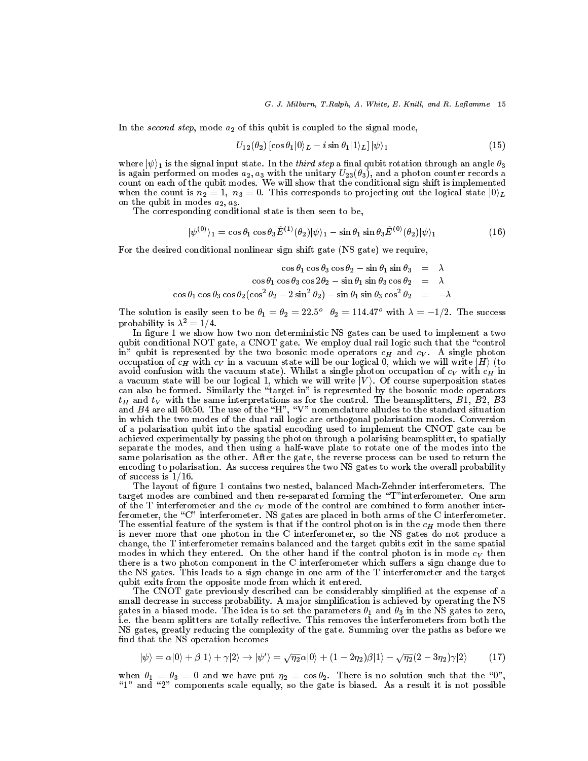In the second step, mode  $a_2$  of this qubit is coupled to the signal mode,

$$
U_{12}(\theta_2) \left[ \cos \theta_1 |0\rangle_L - i \sin \theta_1 |1\rangle_L \right] |\psi\rangle_1 \tag{15}
$$

where  $|\psi\rangle_1$  is the signal input state. In the *third step* a final qubit rotation through an angle  $\theta_3$ is again performed on modes  $a_2$ ,  $a_3$  with the unitary  $U_{23}(\theta_3)$ , and a photon counter records a count on each of the qubit modes. We will show that the conditional sign shift is implemented when the count is  $n_2 = 1$ ,  $n_3 = 0$ . This corresponds to projecting out the logical state  $|0\rangle_L$ on the qubit in modes  $a_2, a_3$ .

The corresponding conditional state is then seen to be,

$$
|\psi^{(0)}\rangle_1 = \cos\theta_1 \cos\theta_3 \hat{E}^{(1)}(\theta_2)|\psi\rangle_1 - \sin\theta_1 \sin\theta_3 \hat{E}^{(0)}(\theta_2)|\psi\rangle_1 \tag{16}
$$

For the desired conditional nonlinear sign shift gate (NS gate) we require,

$$
\cos \theta_1 \cos \theta_3 \cos \theta_2 - \sin \theta_1 \sin \theta_3 = \lambda
$$
  

$$
\cos \theta_1 \cos \theta_3 \cos 2\theta_2 - \sin \theta_1 \sin \theta_3 \cos \theta_2 = \lambda
$$
  

$$
\cos \theta_1 \cos \theta_3 \cos \theta_2 (\cos^2 \theta_2 - 2 \sin^2 \theta_2) - \sin \theta_1 \sin \theta_3 \cos^2 \theta_2 = -\lambda
$$

The solution is easily seen to be  $\theta_1 = \theta_2 = 22.5^{\circ}$   $\theta_2 = 114.47^{\circ}$  with  $\lambda = -1/2$ . The success probability is  $\lambda^2 = 1/4$ .

In figure 1 we show how two non deterministic NS gates can be used to implement a two qubit conditional NOT gate, a CNOT gate. We employ dual rail logic such that the "control in" qubit is represented by the two bosonic mode operators  $c_H$  and  $c_V$ . A single photon occupation of  $c_H$  with  $c_V$  in a vacuum state will be our logical 0, which we will write  $|H\rangle$  (to avoid confusion with the vacuum state). Whilst a single photon occupation of  $c_V$  with  $c_H$  in a vacuum state will be our logical 1, which we will write  $|V\rangle$ . Of course superposition states<br>can also be formed. Similarly the "target in" is represented by the bosonic mode operators<br> $t_H$  and  $t_V$  with the same inter and  $B4$  are all 50:50. The use of the "H", "V" nomenclature alludes to the standard situation<br>in which the two modes of the dual rail logic are orthogonal polarisation modes. Conversion of a polarisation qubit into the spatial encoding used to implement the CNOT gate can be achieved experimentally by passing the photon through a polarising beamsplitter, to spatially separate the modes, and then using a half-wave plate to rotate one of the modes into the same polarisation as the other. After the gate, the reverse process can be used to return the encoding to polarisation. As success requires the two NS gates to work the overall probability of success is  $1/16$ .

The layout of figure 1 contains two nested, balanced Mach-Zehnder interferometers. The target modes are combined and then re-separated forming the "T" interferometer. One arm of the T interferometer and the  $c_V$  mode of the control are combined to form another interferometer, the "C" interferometer. NS gates are placed in both arms of the C interferometer. The essential feature of the system is that if the control photon is in the  $c_H$  mode then there is never more that one photon in the C interferometer, so the NS gates do not produce a change, the T interferometer remains balanced and the target qubits exit in the same spatial modes in which they entered. On the other hand if the control photon is in mode  $c_V$  then there is a two photon component in the C interferometer which suffers a sign change due to the NS gates. This leads to a sign change in one arm of the T interferometer and the target qubit exits from the opposite mode from which it entered.

The CNOT gate previously described can be considerably simplified at the expense of a small decrease in success probability. A major simplification is achieved by operating the NS gates in a biased mode. The idea is to set the parameters  $\theta_1$  and  $\theta_3$  in the NS gates to zero, i.e. the beam splitters are totally reflective. This removes the interferometers from both the NS gates, greatly reducing the complexity of the gate. Summing over the paths as before we find that the NS operation becomes

$$
|\psi\rangle = \alpha|0\rangle + \beta|1\rangle + \gamma|2\rangle \rightarrow |\psi'\rangle = \sqrt{\eta_2}\alpha|0\rangle + (1 - 2\eta_2)\beta|1\rangle - \sqrt{\eta_2}(2 - 3\eta_2)\gamma|2\rangle \tag{17}
$$

when  $\theta_1 = \theta_3 = 0$  and we have put  $\eta_2 = \cos \theta_2$ . There is no solution such that the "0" "1" and "2" components scale equally, so the gate is biased. As a result it is not possible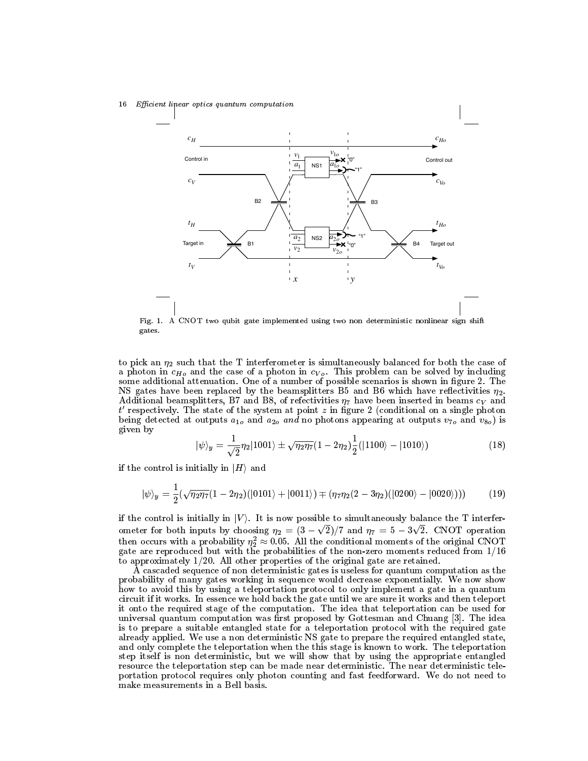16 Efficient linear optics quantum computation



Fig. 1. A CNOT two qubit gate implemented using two non deterministic nonlinear sign shift gates.

to pick an  $\eta_2$  such that the T interferometer is simultaneously balanced for both the case of a photon in  $c_{H_0}$  and the case of a photon in  $c_{V_0}$ . This problem can be solved by including some additional attenuation. One of a number of possible scenarios is shown in figure 2. The NS gates have been replaced by the beamsplitters B5 and B6 which have reflectivities  $\eta_2$ . Additional beamsplitters, B7 and B8, of refectivities  $\eta_7$  have been inserted in beams  $c_V$  and t' respectively. The state of the system at point z in figure 2 (conditional on a single photon being detected at outputs  $a_{1o}$  and  $a_{2o}$  and no photons appearing at outputs  $v_{7o}$  and  $v_{8o}$ ) is given by

$$
|\psi\rangle_y = \frac{1}{\sqrt{2}} \eta_2 |1001\rangle \pm \sqrt{\eta_2 \eta_7} (1 - 2 \eta_2) \frac{1}{2} (|1100\rangle - |1010\rangle)
$$
 (18)

if the control is initially in  $|H\rangle$  and

$$
|\psi\rangle_y = \frac{1}{2}(\sqrt{\eta_2\eta_7}(1-2\eta_2)(|0101\rangle+|0011\rangle) \mp (\eta_7\eta_2(2-3\eta_2)(|0200\rangle-|0020\rangle))) \tag{19}
$$

if the control is initially in  $|V\rangle$ . It is now possible to simultaneously balance the T interferometer for both inputs by choosing  $\eta_2 = (3 - \sqrt{2})/7$  and  $\eta_7 = 5 - 3\sqrt{2}$ . CNOT operation<br>then occurs with a probability  $\eta_2^2 \approx 0.05$ . All the conditional moments of the original CNOT gate are reproduced but with the probabilities of the non-zero moments reduced from  $1/16$ to approximately  $1/20$ . All other properties of the original gate are retained.

A cascaded sequence of non deterministic gates is useless for quantum computation as the probability of many gates working in sequence would decrease exponentially. We now show how to avoid this by using a teleportation protocol to only implement a gate in a quantum circuit if it works. In essence we hold back the gate until we are sure it works and then teleport it onto the required stage of the computation. The idea that teleportation can be used for universal quantum computation was first proposed by Gottesman and Chuang [3]. The idea is to prepare a suitable entangled state for a teleportation protocol with the required gate already applied. We use a non deterministic NS gate to prepare the required entangled state, and only complete the teleportation when the this stage is known to work. The teleportation step itself is non deterministic, but we will show that by using the appropriate entangled resource the teleportation step can be made near deterministic. The near deterministic teleportation protocol requires only photon counting and fast feedforward. We do not need to make measurements in a Bell basis.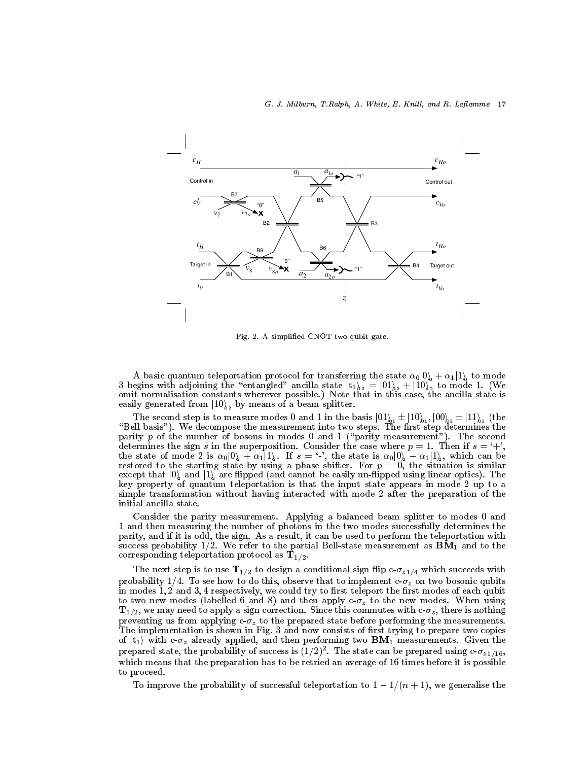

Fig. 2. A simplified CNOT two qubit gate.

A basic quantum teleportation protocol for transferring the state  $\alpha_0|0\rangle + \alpha_1|1\rangle$  to mode 3 begins with adjoining the "entangled" ancilla state  $|t_1\rangle_{12} = |01\rangle_{12} + |10\rangle_{12}$  to mode 1. (We omit normalisation constants wherever possible.) Note that in this case, the ancilla state is easily generated from  $|1$ 

The second step is to measure modes 0 and 1 in the basis  $|01\rangle_{1} \pm |10\rangle_{1}$ ,  $|00\rangle_{1} \pm |11\rangle_{1}$  (the "Bell basis"). We decompose the measurement into two steps. The first step determines the parity  $p$  of the number of bosons in modes 0 and 1 ("parity measurement"). The second determines the sign s in the superposition. Consider the case where  $p = 1$ . Then if  $s = ' +'$ ,<br>the state of mode 2 is  $\alpha_0 |0\rangle + \alpha_1 |1\rangle$ . If  $s = ' \cdot'$ , the state is  $\alpha_0 |0\rangle - \alpha_1 |1\rangle$ , which can be<br>restored to the starting except that  $|0\rangle$  and  $|1\rangle$  are flipped (and cannot be easily un-flipped using linear optics). The key property of quantum teleportation is that the input state appears in mode 2 up to a simple transformation without having interacted with mode 2 after the preparation of the initial ancilla state.

Consider the parity measurement. Applying a balanced beam splitter to modes 0 and 1 and then measuring the number of photons in the two modes successfully determines the parity, and if it is odd, the sign. As a result, it can be used to perform the teleportation with success probability 1/2. We refer to the partial Bell-state measurement as  $\mathbf{BM}_1$  and to the corresponding teleportation protocol as  $T_{1/2}$ .

The next step is to use  $T_{1/2}$  to design a conditional sign flip  $c$ - $\sigma_{z1/4}$  which succeeds with probability 1/4. To see how to do this, observe that to implement  $c \cdot \sigma_z$  on two bosonic qubits in modes  $1, 2$  and  $3, 4$  respectively, we could try to first teleport the first modes of each qubit to two new modes (labelled 6 and 8) and then apply  $c \cdot \sigma_z$  to the new modes. When using  $\mathbf{T}_{1/2}$ , we may need to apply a sign correction. Since this commutes with  $c \cdot \sigma_z$ , there is nothing preventing us from applying  $c \cdot \sigma_z$  to the prepared state before performing the measurements. The implementation is shown in Fig. 3 and now consists of first trying to prepare two copies of  $|t_1\rangle$  with c- $\sigma_z$  already applied, and then performing two  $BM_1$  measurements. Given the prepared state, the probability of success is  $(1/2)^2$ . The state can be prepared using  $c \cdot \sigma_{z1/16}$ , which means that the preparation has to be retried an average of 16 times before it is possible to proceed.

To improve the probability of successful teleportation to  $1-1/(n+1)$ , we generalise the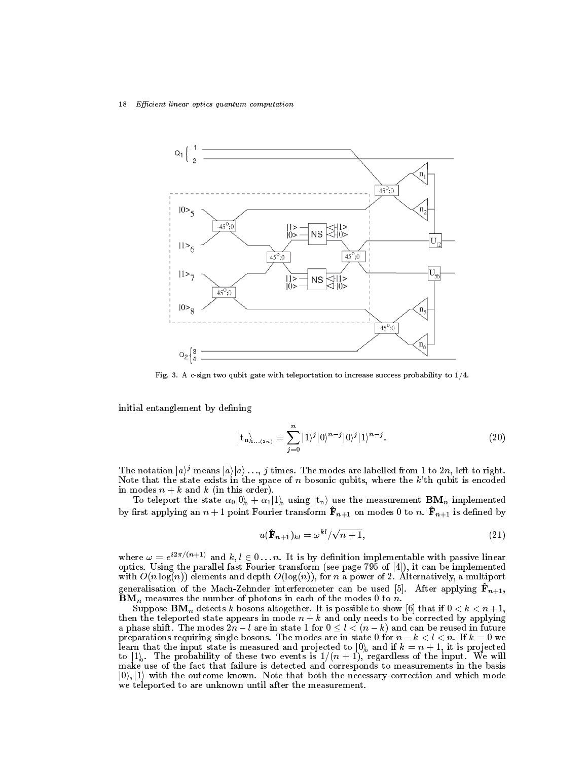18 Efficient linear optics quantum computation



Fig. 3. A c-sign two qubit gate with teleportation to increase success probability to  $1/4$ .

initial entanglement by defining

$$
|\mathbf{t}_{n}\rangle_{\mathbf{t}_{1}\dots(2n)} = \sum_{j=0}^{n} |1\rangle^{j} |0\rangle^{n-j} |0\rangle^{j} |1\rangle^{n-j}.
$$
 (20)

The notation  $|a\rangle^j$  means  $|a\rangle|a\rangle \dots j$  times. The modes are labelled from 1 to 2n, left to right. Note that the state exists in the space of  $n$  bosonic qubits, where the  $k$ 'th qubit is encoded in modes  $n + k$  and k (in this order).

To teleport the state  $\alpha_0|0\rangle + \alpha_1|1\rangle$  using  $|t_n\rangle$  use the measurement **BM**<sub>n</sub> implemented by first applying an  $n+1$  point Fourier transform  $\hat{\mathbf{F}}_{n+1}$  on modes 0 to n.  $\hat{\mathbf{F}}_{n+1}$  is defined by

$$
u(\hat{\mathbf{F}}_{n+1})_{kl} = \omega^{kl}/\sqrt{n+1},\tag{21}
$$

where  $\omega = e^{i2\pi/(n+1)}$  and  $k, l \in 0...n$ . It is by definition implementable with passive linear optics. Using the parallel fast Fourier transform (see page 795 of [4]), it can be implemented with  $O(n \log(n))$  elements and depth  $O(\log(n))$ , for n a power of 2. Alternatively, a multiport generalisation of the Mach-Zehnder interferometer can be used [5]. After applying  $\mathbf{\hat{F}}_{n+1}$ ,  $\mathbf{B}\mathbf{M}_n$  measures the number of photons in each of the modes 0 to n.

Suppose **BM**<sub>n</sub> detects k bosons altogether. It is possible to show [6] that if  $0 < k < n+1$ ,<br>then the teleported state appears in mode  $n + k$  and only needs to be corrected by applying<br>a phase shift. The modes  $2n - l$  are in preparations requiring single bosons. The modes are in state 0 for  $n - k < l < n$ . If  $k = 0$  we learn that the input state is measured and projected to  $[0]_0$  and if  $k = n + 1$ , it is projected to  $|1\rangle$ . The probability of these two events is  $1/(n+1)$ , regardless of the input. We will make use of the fact that failure is detected and corresponds to measurements in the basis  $|0\rangle,|1\rangle$  with the outcome known. Note that both the necessary correction and which mode we teleported to are unknown until after the measurement.